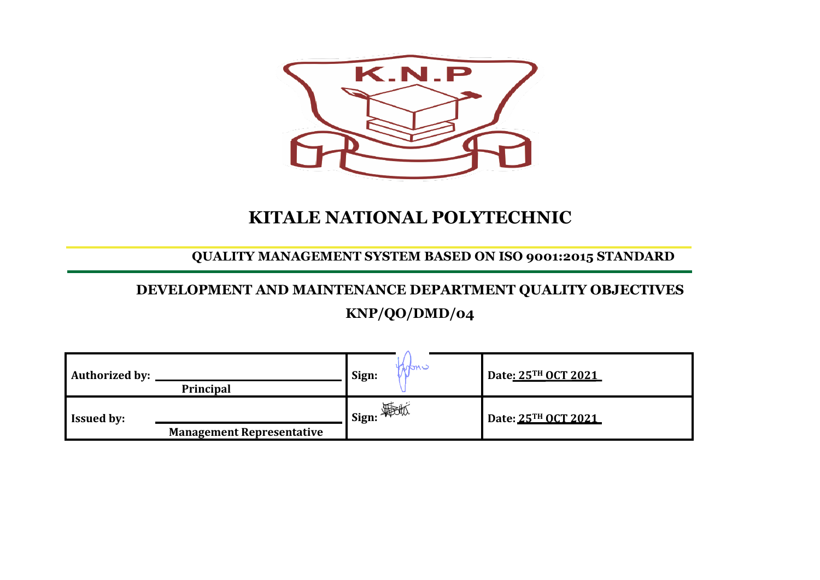

## **KITALE NATIONAL POLYTECHNIC**

**QUALITY MANAGEMENT SYSTEM BASED ON ISO 9001:2015 STANDARD**

## **DEVELOPMENT AND MAINTENANCE DEPARTMENT QUALITY OBJECTIVES KNP/QO/DMD/04**

| <b>Authorized by:</b> | <b>Principal</b>                 | nan i<br>Sign:       | Date: 25TH OCT 2021 |
|-----------------------|----------------------------------|----------------------|---------------------|
| <b>Issued by:</b>     | <b>Management Representative</b> | <b>__</b>   Sign: 平地 | Date: 25TH OCT 2021 |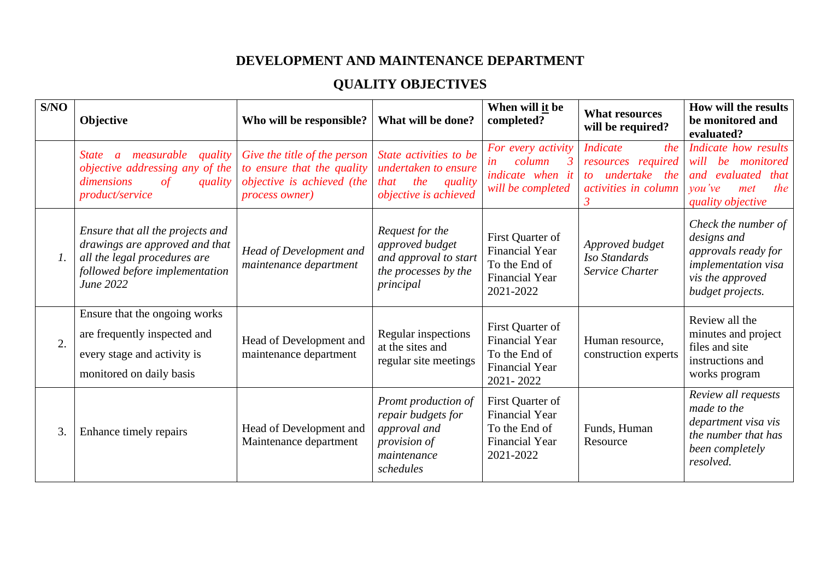## **DEVELOPMENT AND MAINTENANCE DEPARTMENT**

## **QUALITY OBJECTIVES**

| S/NO          | Objective                                                                                                                                                   | Who will be responsible?                                                                                   | What will be done?                                                                                           | When will it be<br>completed?                                                                    | <b>What resources</b><br>will be required?                                                       | How will the results<br>be monitored and<br>evaluated?                                                                           |
|---------------|-------------------------------------------------------------------------------------------------------------------------------------------------------------|------------------------------------------------------------------------------------------------------------|--------------------------------------------------------------------------------------------------------------|--------------------------------------------------------------------------------------------------|--------------------------------------------------------------------------------------------------|----------------------------------------------------------------------------------------------------------------------------------|
|               | measurable<br><i>State</i><br>quality<br>$\mathfrak{a}$<br>objective addressing any of the<br>dimensions<br>$\sigma f$<br>quality<br><i>product/service</i> | Give the title of the person<br>to ensure that the quality<br>objective is achieved (the<br>process owner) | State activities to be<br>undertaken to ensure<br>the<br>quality<br>that<br>objective is achieved            | For every activity<br>column<br>in<br>indicate when it<br>will be completed                      | <b>Indicate</b><br>the<br>resources required<br>undertake the<br>to<br>activities in column<br>3 | Indicate how results<br>monitored<br>be<br>will<br>and evaluated<br>that<br>$\mathit{vou've}$<br>the<br>met<br>quality objective |
| $\mathcal{L}$ | Ensure that all the projects and<br>drawings are approved and that<br>all the legal procedures are<br>followed before implementation<br>June 2022           | Head of Development and<br>maintenance department                                                          | Request for the<br>approved budget<br>and approval to start<br>the processes by the<br>principal             | First Quarter of<br><b>Financial Year</b><br>To the End of<br><b>Financial Year</b><br>2021-2022 | Approved budget<br>Iso Standards<br>Service Charter                                              | Check the number of<br>designs and<br>approvals ready for<br>implementation visa<br>vis the approved<br>budget projects.         |
| 2.            | Ensure that the ongoing works<br>are frequently inspected and<br>every stage and activity is<br>monitored on daily basis                                    | Head of Development and<br>maintenance department                                                          | Regular inspections<br>at the sites and<br>regular site meetings                                             | First Quarter of<br><b>Financial Year</b><br>To the End of<br><b>Financial Year</b><br>2021-2022 | Human resource,<br>construction experts                                                          | Review all the<br>minutes and project<br>files and site<br>instructions and<br>works program                                     |
| 3.            | Enhance timely repairs                                                                                                                                      | Head of Development and<br>Maintenance department                                                          | <b>Promt production of</b><br>repair budgets for<br>approval and<br>provision of<br>maintenance<br>schedules | First Quarter of<br><b>Financial Year</b><br>To the End of<br><b>Financial Year</b><br>2021-2022 | Funds, Human<br>Resource                                                                         | Review all requests<br>made to the<br>department visa vis<br>the number that has<br>been completely<br>resolved.                 |